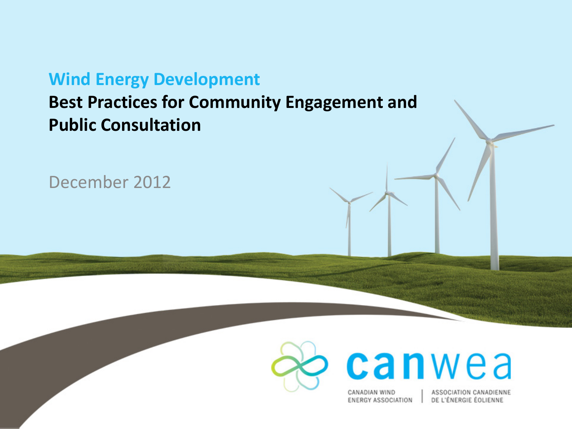#### **Wind Energy Development**

#### **Best Practices for Community Engagement and Public Consultation**

December 2012



CANADIAN WIND **ENERGY ASSOCIATION** 

canwea

ASSOCIATION CANADIENNE DE L'ÉNERGIE ÉOLIENNE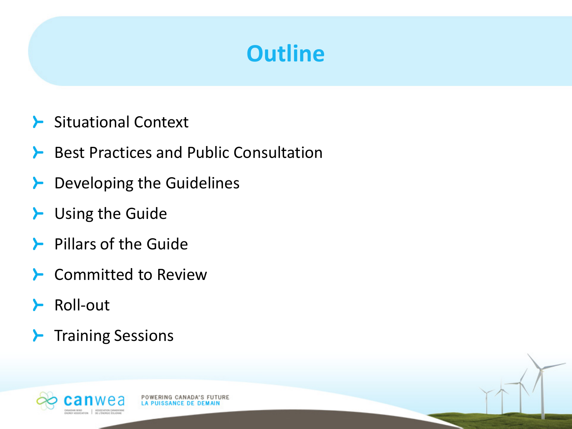### **Outline**

- > Situational Context
- **Best Practices and Public Consultation**

POWERING CANADA'S FUTURE **LA PUISSANCE DE DEMAIL** 

- $\blacktriangleright$  Developing the Guidelines
- **L** Using the Guide
- $\blacktriangleright$  Pillars of the Guide
- **E** Committed to Review
- **≻** Roll-out
- $\blacktriangleright$  Training Sessions

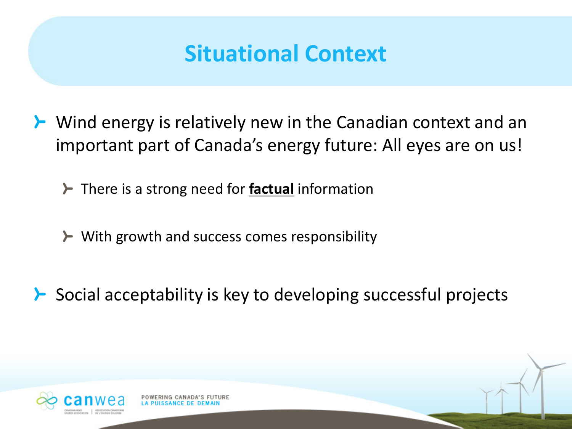### **Situational Context**

- **≻** Wind energy is relatively new in the Canadian context and an important part of Canada's energy future: All eyes are on us!
	- **≻** There is a strong need for **factual** information
	- ≻ With growth and success comes responsibility
- Social acceptability is key to developing successful projects≻

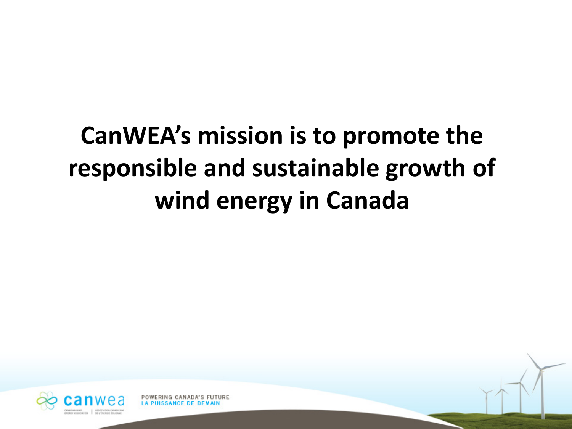# **CanWEA's mission is to promote the responsible and sustainable growth of wind energy in Canada**



POWERING CANADA'S FUTURE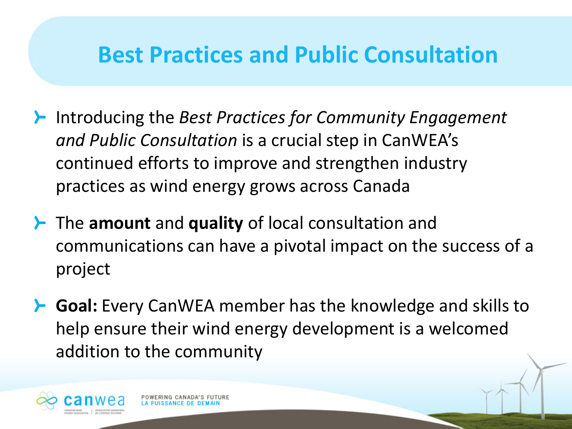### **Best Practices and Public Consultation**

- Introducing the *Best Practices for Community Engagement and Public Consultation* is a crucial step in CanWEA's continued efforts to improve and strengthen industry practices as wind energy grows across Canada
- **≻** The amount and quality of local consultation and communications can have a pivotal impact on the success of a project
- **F** Goal: Every CanWEA member has the knowledge and skills to help ensure their wind energy development is a welcomed addition to the community

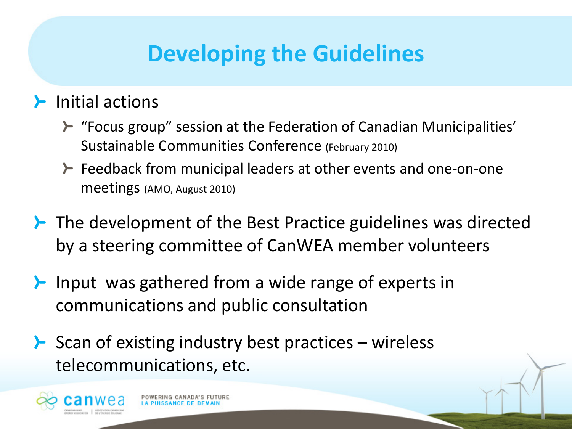## **Developing the Guidelines**

#### $\blacktriangleright$  Initial actions

- **E** "Focus group" session at the Federation of Canadian Municipalities' Sustainable Communities Conference (February 2010)
- Feedback from municipal leaders at other events and one-on-one meetings (AMO, August 2010)
- $\blacktriangleright$  The development of the Best Practice guidelines was directed by a steering committee of CanWEA member volunteers
- $\blacktriangleright$  Input was gathered from a wide range of experts in communications and public consultation
- $\blacktriangleright$  Scan of existing industry best practices wireless telecommunications, etc.

RING CANADA'S FUTURE

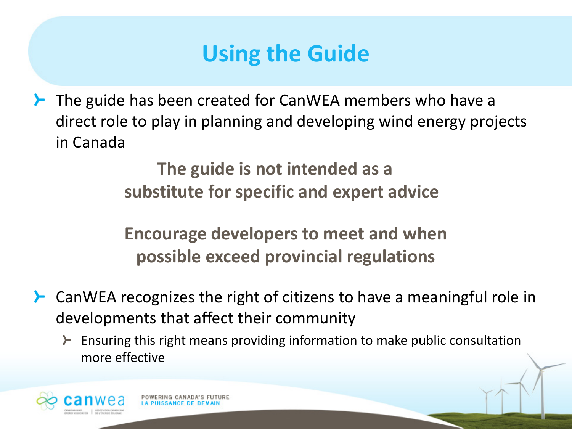## **Using the Guide**

**≻** The guide has been created for CanWEA members who have a direct role to play in planning and developing wind energy projects in Canada

> **The guide is not intended as a substitute for specific and expert advice**

**Encourage developers to meet and when possible exceed provincial regulations** 

- CanWEA recognizes the right of citizens to have a meaningful role in ≻ developments that affect their community
	- Ensuring this right means providing information to make public consultation ≻ more effective



RING CANADA'S FUT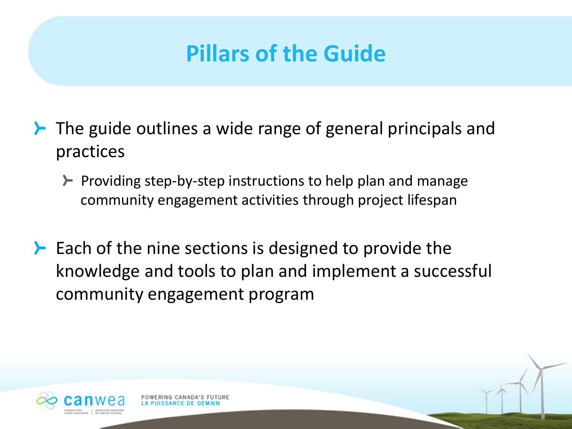- $\blacktriangleright$  The guide outlines a wide range of general principals and practices
	- $\blacktriangleright$  Providing step-by-step instructions to help plan and manage community engagement activities through project lifespan
- $\blacktriangleright$  Each of the nine sections is designed to provide the knowledge and tools to plan and implement a successful community engagement program



POWERING CANADA'S FUT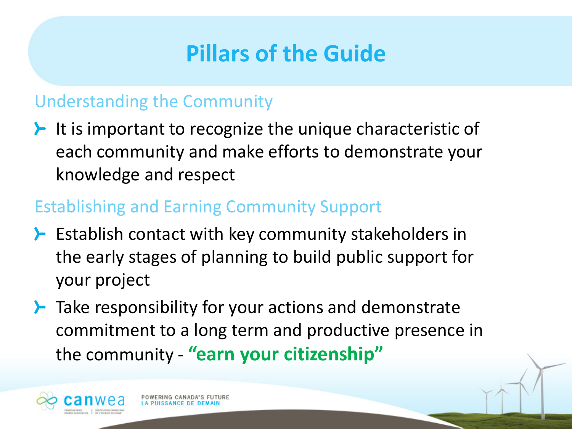#### Understanding the Community

 $\blacktriangleright$  It is important to recognize the unique characteristic of each community and make efforts to demonstrate your knowledge and respect

#### Establishing and Earning Community Support

POWERING CANADA'S FUTURE

- $\blacktriangleright$  Establish contact with key community stakeholders in the early stages of planning to build public support for your project
- $\blacktriangleright$  Take responsibility for your actions and demonstrate commitment to a long term and productive presence in the community - **"earn your citizenship"**

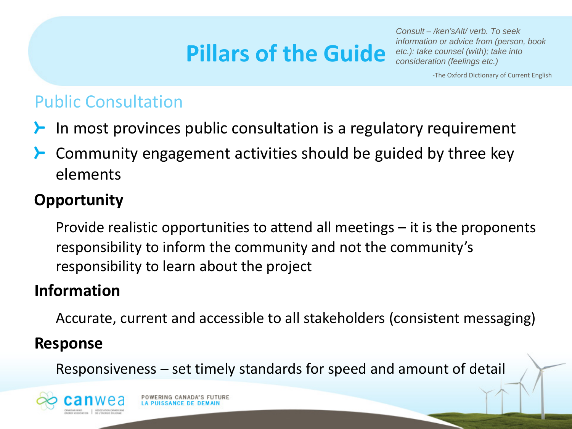*Consult – /ken'sAlt/ verb. To seek information or advice from (person, book etc.): take counsel (with); take into consideration (feelings etc.)*

-The Oxford Dictionary of Current English

#### Public Consultation

- In most provinces public consultation is a regulatory requirement
- Community engagement activities should be guided by three key elements

#### **Opportunity**

Provide realistic opportunities to attend all meetings – it is the proponents responsibility to inform the community and not the community's responsibility to learn about the project

#### **Information**

Accurate, current and accessible to all stakeholders (consistent messaging)

#### **Response**

Responsiveness – set timely standards for speed and amount of detail

POWERING CANADA'S FUTURE

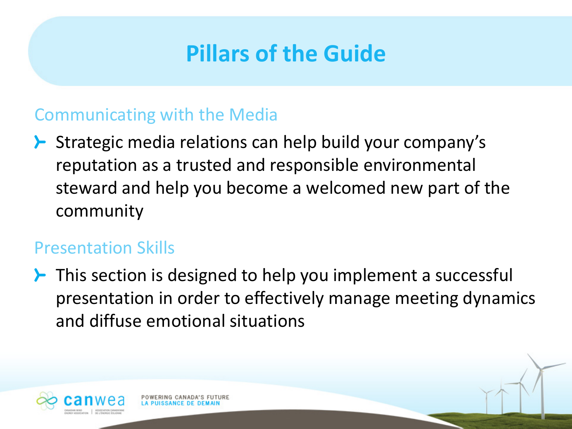#### Communicating with the Media

> Strategic media relations can help build your company's reputation as a trusted and responsible environmental steward and help you become a welcomed new part of the community

#### Presentation Skills

 $\blacktriangleright$  This section is designed to help you implement a successful presentation in order to effectively manage meeting dynamics and diffuse emotional situations

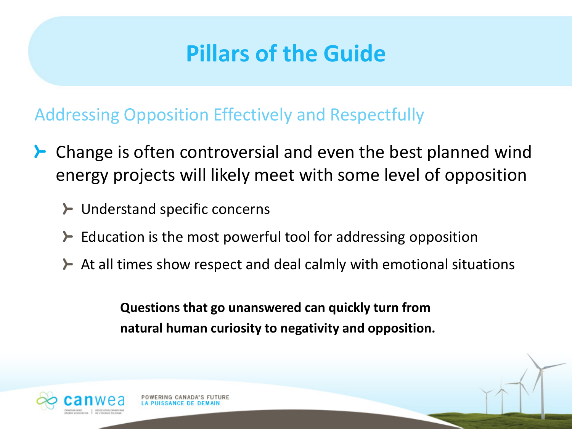Addressing Opposition Effectively and Respectfully

- Change is often controversial and even the best planned wind energy projects will likely meet with some level of opposition
	- $\blacktriangleright$  Understand specific concerns
	- $\blacktriangleright$  Education is the most powerful tool for addressing opposition
	- $\blacktriangleright$  At all times show respect and deal calmly with emotional situations

**Questions that go unanswered can quickly turn from natural human curiosity to negativity and opposition.**

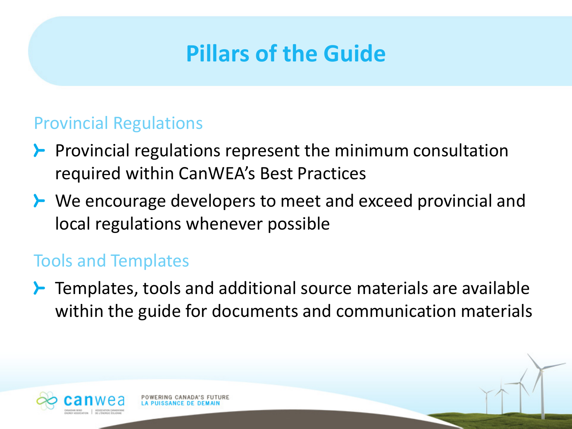#### Provincial Regulations

- $\blacktriangleright$  Provincial regulations represent the minimum consultation required within CanWEA's Best Practices
- **≻** We encourage developers to meet and exceed provincial and local regulations whenever possible

#### Tools and Templates

 $\blacktriangleright$  Templates, tools and additional source materials are available within the guide for documents and communication materials

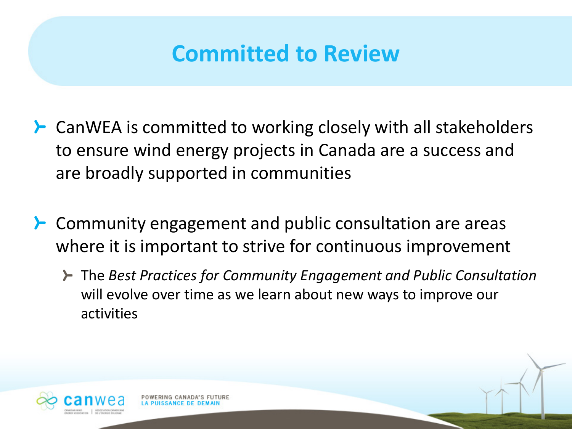### **Committed to Review**

- $\blacktriangleright$  CanWEA is committed to working closely with all stakeholders to ensure wind energy projects in Canada are a success and are broadly supported in communities
- **≻** Community engagement and public consultation are areas where it is important to strive for continuous improvement
	- The *Best Practices for Community Engagement and Public Consultation* will evolve over time as we learn about new ways to improve our activities

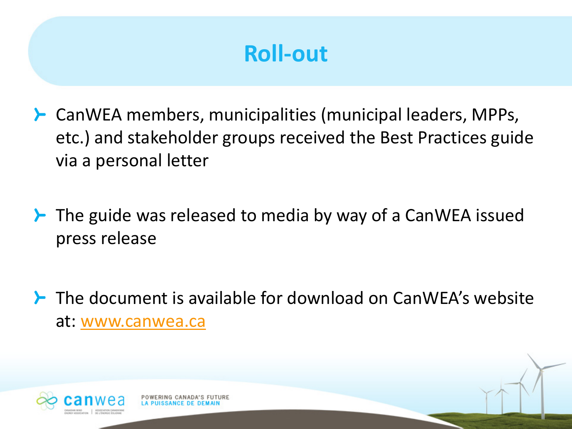### **Roll-out**

- CanWEA members, municipalities (municipal leaders, MPPs, etc.) and stakeholder groups received the Best Practices guide via a personal letter
- $\blacktriangleright$  The guide was released to media by way of a CanWEA issued press release
- The document is available for download on CanWEA's website at: [www.canwea.ca](http://www.canwea.ca/)

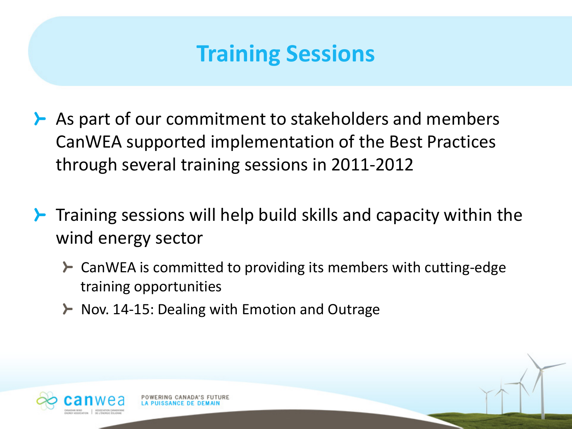### **Training Sessions**

- $\blacktriangleright$  As part of our commitment to stakeholders and members CanWEA supported implementation of the Best Practices through several training sessions in 2011-2012
- $\blacktriangleright$  Training sessions will help build skills and capacity within the wind energy sector
	- **≻** CanWEA is committed to providing its members with cutting-edge training opportunities
	- $\blacktriangleright$  Nov. 14-15: Dealing with Emotion and Outrage

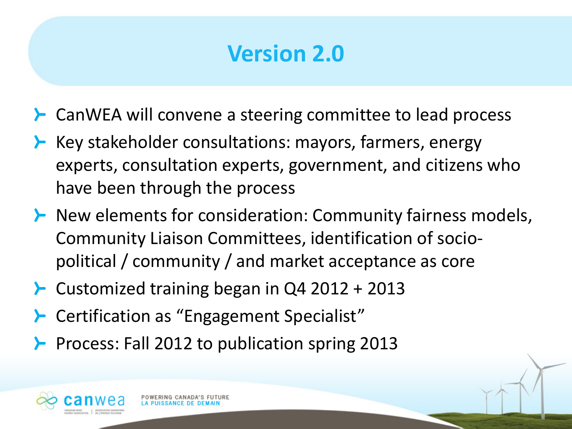### **Version 2.0**

- **≻** CanWEA will convene a steering committee to lead process
- $\blacktriangleright$  Key stakeholder consultations: mayors, farmers, energy experts, consultation experts, government, and citizens who have been through the process
- $\blacktriangleright$  New elements for consideration: Community fairness models, Community Liaison Committees, identification of sociopolitical / community / and market acceptance as core
- **►** Customized training began in  $Q4$  2012 + 2013
- **≻** Certification as "Engagement Specialist"
- Process: Fall 2012 to publication spring 2013